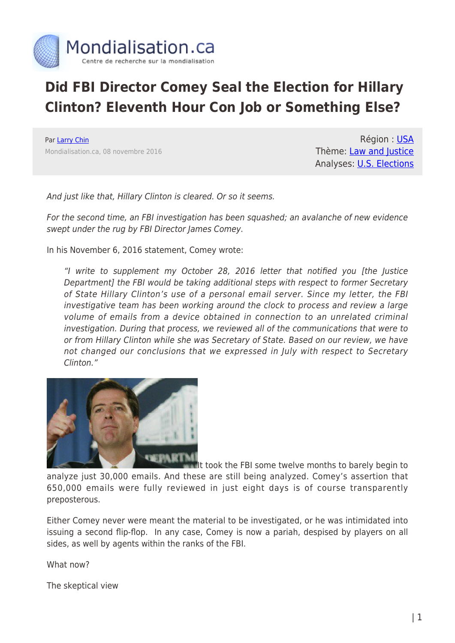

## **Did FBI Director Comey Seal the Election for Hillary Clinton? Eleventh Hour Con Job or Something Else?**

Par [Larry Chin](https://www.mondialisation.ca/author/larry-chin) Mondialisation.ca, 08 novembre 2016

Région : [USA](https://www.mondialisation.ca/region/usa) Thème: [Law and Justice](https://www.mondialisation.ca/theme/law-and-justice) Analyses: **[U.S. Elections](https://www.mondialisation.ca/indepthreport/u-s-elections)** 

And just like that, Hillary Clinton is cleared. Or so it seems.

For the second time, an FBI investigation has been squashed; an avalanche of new evidence swept under the rug by FBI Director James Comey.

In his November 6, 2016 statement, Comey wrote:

"I write to supplement my October 28, 2016 letter that notified you [the Justice Department] the FBI would be taking additional steps with respect to former Secretary of State Hillary Clinton's use of a personal email server. Since my letter, the FBI investigative team has been working around the clock to process and review a large volume of emails from a device obtained in connection to an unrelated criminal investigation. During that process, we reviewed all of the communications that were to or from Hillary Clinton while she was Secretary of State. Based on our review, we have not changed our conclusions that we expressed in July with respect to Secretary Clinton."



[I](http://www.globalresearch.ca/wp-content/uploads/2016/11/comey.png)f took the FBI some twelve months to barely begin to

analyze just 30,000 emails. And these are still being analyzed. Comey's assertion that 650,000 emails were fully reviewed in just eight days is of course transparently preposterous.

Either Comey never were meant the material to be investigated, or he was intimidated into issuing a second flip-flop. In any case, Comey is now a pariah, despised by players on all sides, as well by agents within the ranks of the FBI.

What now?

The skeptical view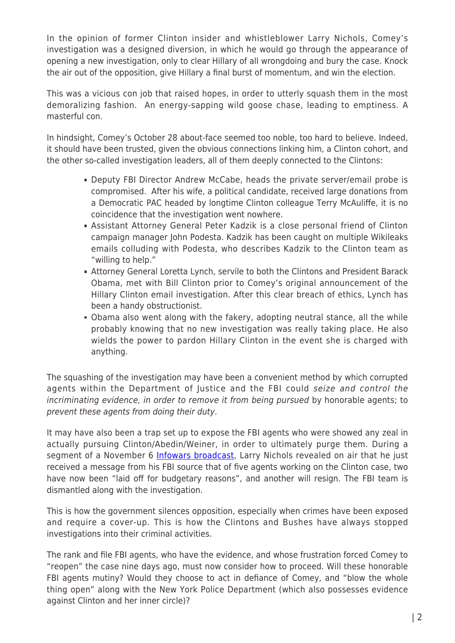In the opinion of former Clinton insider and whistleblower Larry Nichols, Comey's investigation was a designed diversion, in which he would go through the appearance of opening a new investigation, only to clear Hillary of all wrongdoing and bury the case. Knock the air out of the opposition, give Hillary a final burst of momentum, and win the election.

This was a vicious con job that raised hopes, in order to utterly squash them in the most demoralizing fashion. An energy-sapping wild goose chase, leading to emptiness. A masterful con.

In hindsight, Comey's October 28 about-face seemed too noble, too hard to believe. Indeed, it should have been trusted, given the obvious connections linking him, a Clinton cohort, and the other so-called investigation leaders, all of them deeply connected to the Clintons:

- Deputy FBI Director Andrew McCabe, heads the private server/email probe is compromised. After his wife, a political candidate, received large donations from a Democratic PAC headed by longtime Clinton colleague Terry McAuliffe, it is no coincidence that the investigation went nowhere.
- Assistant Attorney General Peter Kadzik is a close personal friend of Clinton campaign manager John Podesta. Kadzik has been caught on multiple Wikileaks emails colluding with Podesta, who describes Kadzik to the Clinton team as "willing to help."
- Attorney General Loretta Lynch, servile to both the Clintons and President Barack Obama, met with Bill Clinton prior to Comey's original announcement of the Hillary Clinton email investigation. After this clear breach of ethics, Lynch has been a handy obstructionist.
- Obama also went along with the fakery, adopting neutral stance, all the while probably knowing that no new investigation was really taking place. He also wields the power to pardon Hillary Clinton in the event she is charged with anything.

The squashing of the investigation may have been a convenient method by which corrupted agents within the Department of Justice and the FBI could seize and control the incriminating evidence, in order to remove it from being pursued by honorable agents; to prevent these agents from doing their duty.

It may have also been a trap set up to expose the FBI agents who were showed any zeal in actually pursuing Clinton/Abedin/Weiner, in order to ultimately purge them. During a segment of a November 6 [Infowars broadcast](https://www.youtube.com/watch?v=kP-E8nCISfA), Larry Nichols revealed on air that he just received a message from his FBI source that of five agents working on the Clinton case, two have now been "laid off for budgetary reasons", and another will resign. The FBI team is dismantled along with the investigation.

This is how the government silences opposition, especially when crimes have been exposed and require a cover-up. This is how the Clintons and Bushes have always stopped investigations into their criminal activities.

The rank and file FBI agents, who have the evidence, and whose frustration forced Comey to "reopen" the case nine days ago, must now consider how to proceed. Will these honorable FBI agents mutiny? Would they choose to act in defiance of Comey, and "blow the whole thing open" along with the New York Police Department (which also possesses evidence against Clinton and her inner circle)?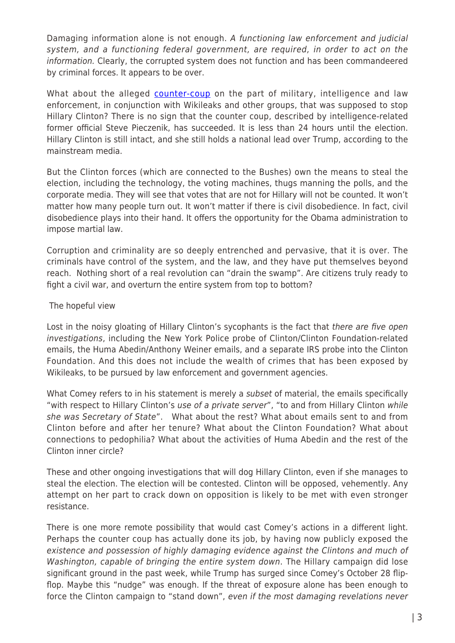Damaging information alone is not enough. A functioning law enforcement and judicial system, and a functioning federal government, are required, in order to act on the information. Clearly, the corrupted system does not function and has been commandeered by criminal forces. It appears to be over.

What about the alleged [counter-coup](https://www.youtube.com/watch?v=ov5kvWSz5LM) on the part of military, intelligence and law enforcement, in conjunction with Wikileaks and other groups, that was supposed to stop Hillary Clinton? There is no sign that the counter coup, described by intelligence-related former official Steve Pieczenik, has succeeded. It is less than 24 hours until the election. Hillary Clinton is still intact, and she still holds a national lead over Trump, according to the mainstream media.

But the Clinton forces (which are connected to the Bushes) own the means to steal the election, including the technology, the voting machines, thugs manning the polls, and the corporate media. They will see that votes that are not for Hillary will not be counted. It won't matter how many people turn out. It won't matter if there is civil disobedience. In fact, civil disobedience plays into their hand. It offers the opportunity for the Obama administration to impose martial law.

Corruption and criminality are so deeply entrenched and pervasive, that it is over. The criminals have control of the system, and the law, and they have put themselves beyond reach. Nothing short of a real revolution can "drain the swamp". Are citizens truly ready to fight a civil war, and overturn the entire system from top to bottom?

## The hopeful view

Lost in the noisy gloating of Hillary Clinton's sycophants is the fact that there are five open investigations, including the New York Police probe of Clinton/Clinton Foundation-related emails, the Huma Abedin/Anthony Weiner emails, and a separate IRS probe into the Clinton Foundation. And this does not include the wealth of crimes that has been exposed by Wikileaks, to be pursued by law enforcement and government agencies.

What Comey refers to in his statement is merely a subset of material, the emails specifically "with respect to Hillary Clinton's use of a private server", "to and from Hillary Clinton while she was Secretary of State". What about the rest? What about emails sent to and from Clinton before and after her tenure? What about the Clinton Foundation? What about connections to pedophilia? What about the activities of Huma Abedin and the rest of the Clinton inner circle?

These and other ongoing investigations that will dog Hillary Clinton, even if she manages to steal the election. The election will be contested. Clinton will be opposed, vehemently. Any attempt on her part to crack down on opposition is likely to be met with even stronger resistance.

There is one more remote possibility that would cast Comey's actions in a different light. Perhaps the counter coup has actually done its job, by having now publicly exposed the existence and possession of highly damaging evidence against the Clintons and much of Washington, capable of bringing the entire system down. The Hillary campaign did lose significant ground in the past week, while Trump has surged since Comey's October 28 flipflop. Maybe this "nudge" was enough. If the threat of exposure alone has been enough to force the Clinton campaign to "stand down", even if the most damaging revelations never